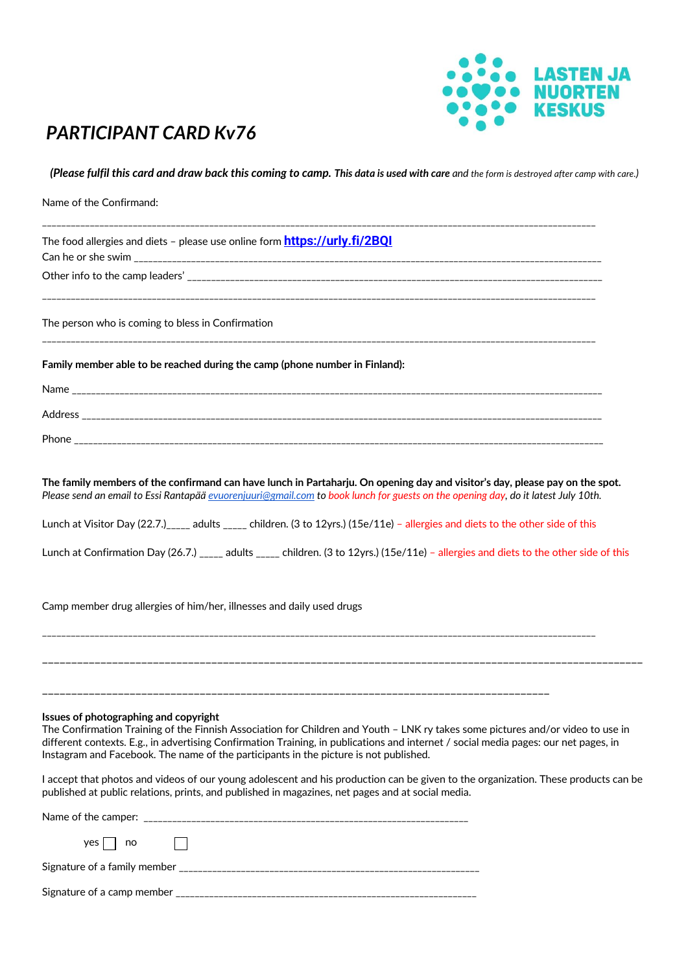

## *PARTICIPANT CARD Kv76*

*(Please fulfil this card and draw back this coming to camp. This data is used with care and the form is destroyed after camp with care.)*

| Name of the Confirmand:                                                                                                                                                                                                                                                                                                                                                                                   |
|-----------------------------------------------------------------------------------------------------------------------------------------------------------------------------------------------------------------------------------------------------------------------------------------------------------------------------------------------------------------------------------------------------------|
| The food allergies and diets – please use online form <b>https://urly.fi/2BQI</b>                                                                                                                                                                                                                                                                                                                         |
|                                                                                                                                                                                                                                                                                                                                                                                                           |
| The person who is coming to bless in Confirmation                                                                                                                                                                                                                                                                                                                                                         |
| Family member able to be reached during the camp (phone number in Finland):                                                                                                                                                                                                                                                                                                                               |
|                                                                                                                                                                                                                                                                                                                                                                                                           |
|                                                                                                                                                                                                                                                                                                                                                                                                           |
|                                                                                                                                                                                                                                                                                                                                                                                                           |
| The family members of the confirmand can have lunch in Partaharju. On opening day and visitor's day, please pay on the spot.<br>Please send an email to Essi Rantapää evuorenjuuri@gmail.com to book lunch for guests on the opening day, do it latest July 10th.                                                                                                                                         |
| Lunch at Visitor Day (22.7.) <sub>_____</sub> adults _____ children. (3 to 12yrs.) (15e/11e) - allergies and diets to the other side of this                                                                                                                                                                                                                                                              |
| Lunch at Confirmation Day (26.7.) _____ adults _____ children. (3 to 12yrs.) (15e/11e) - allergies and diets to the other side of this                                                                                                                                                                                                                                                                    |
| Camp member drug allergies of him/her, illnesses and daily used drugs                                                                                                                                                                                                                                                                                                                                     |
|                                                                                                                                                                                                                                                                                                                                                                                                           |
| Issues of photographing and copyright<br>The Confirmation Training of the Finnish Association for Children and Youth - LNK ry takes some pictures and/or video to use in<br>different contexts. E.g., in advertising Confirmation Training, in publications and internet / social media pages: our net pages, in<br>Instagram and Facebook. The name of the participants in the picture is not published. |
| I accept that photos and videos of our young adolescent and his production can be given to the organization. These products can be<br>published at public relations, prints, and published in magazines, net pages and at social media.                                                                                                                                                                   |
|                                                                                                                                                                                                                                                                                                                                                                                                           |
| $yes \fbox{no}$ no $\fbox{no}$                                                                                                                                                                                                                                                                                                                                                                            |
|                                                                                                                                                                                                                                                                                                                                                                                                           |
|                                                                                                                                                                                                                                                                                                                                                                                                           |